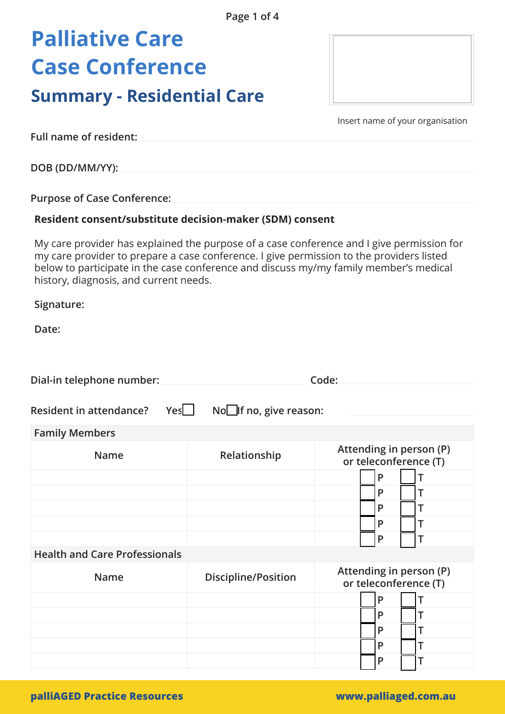# **Palliative Care Case Conference**

### **Summary - Residential Care**

Insert name of your organisation

**Full name of resident:**

**DOB (DD/MM/YY):**

**Purpose of Case Conference:** 

#### **Resident consent/substitute decision-maker (SDM) consent**

My care provider has explained the purpose of a case conference and I give permission for my care provider to prepare a case conference. I give permission to the providers listed below to participate in the case conference and discuss my/my family member's medical history, diagnosis, and current needs.

**Signature:** 

Date:

| Dial-in telephone number:             | Code:                           |                                                  |
|---------------------------------------|---------------------------------|--------------------------------------------------|
| Yes<br><b>Resident in attendance?</b> | No <b>l</b> If no, give reason: |                                                  |
| <b>Family Members</b>                 |                                 |                                                  |
| <b>Name</b>                           | Relationship                    | Attending in person (P)<br>or teleconference (T) |
|                                       |                                 | P<br>т                                           |
|                                       |                                 | P<br>Τ                                           |
|                                       |                                 | P<br>T                                           |
|                                       |                                 | P<br>T                                           |
|                                       |                                 | P                                                |
| <b>Health and Care Professionals</b>  |                                 |                                                  |
| <b>Name</b>                           | <b>Discipline/Position</b>      | Attending in person (P)<br>or teleconference (T) |
|                                       |                                 | P<br>т                                           |
|                                       |                                 | P<br>Т                                           |
|                                       |                                 | P<br>Τ                                           |
|                                       |                                 | P<br>Т                                           |
|                                       |                                 | P                                                |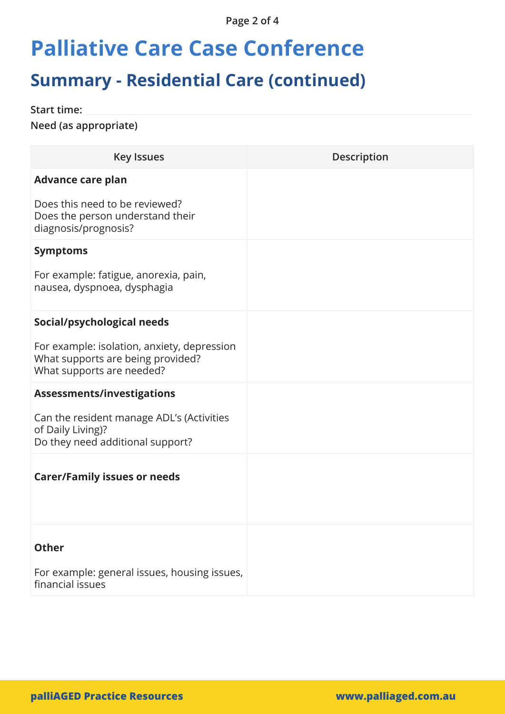**Page 2 of 4**

## **Palliative Care Case Conference**

## **Summary - Residential Care (continued)**

**Start time:**

**Need (as appropriate)** 

| <b>Key Issues</b>                                                                                             | <b>Description</b> |
|---------------------------------------------------------------------------------------------------------------|--------------------|
| <b>Advance care plan</b>                                                                                      |                    |
| Does this need to be reviewed?<br>Does the person understand their<br>diagnosis/prognosis?                    |                    |
| <b>Symptoms</b>                                                                                               |                    |
| For example: fatigue, anorexia, pain,<br>nausea, dyspnoea, dysphagia                                          |                    |
| Social/psychological needs                                                                                    |                    |
| For example: isolation, anxiety, depression<br>What supports are being provided?<br>What supports are needed? |                    |
| <b>Assessments/investigations</b>                                                                             |                    |
| Can the resident manage ADL's (Activities<br>of Daily Living)?<br>Do they need additional support?            |                    |
| <b>Carer/Family issues or needs</b>                                                                           |                    |
|                                                                                                               |                    |
| <b>Other</b>                                                                                                  |                    |
| For example: general issues, housing issues,<br>financial issues                                              |                    |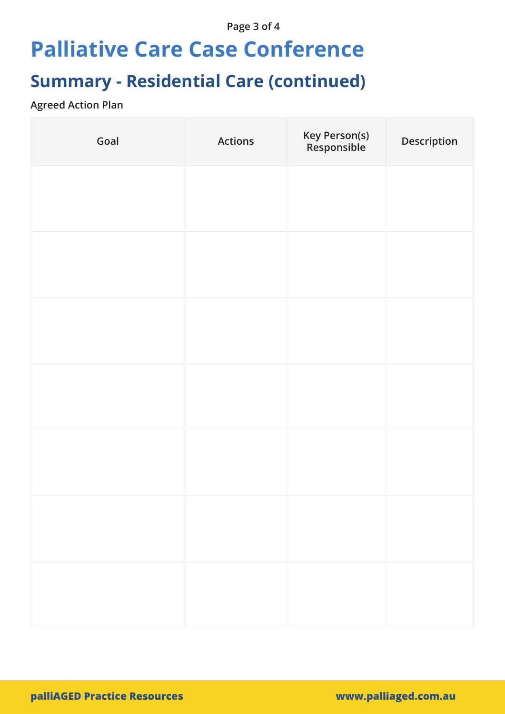### **Page 3 of 4**

## **Palliative Care Case Conference**

## **Summary - Residential Care (continued)**

### **Agreed Action Plan**

| Goal | <b>Actions</b> | Key Person(s)<br>Responsible | Description |
|------|----------------|------------------------------|-------------|
|      |                |                              |             |
|      |                |                              |             |
|      |                |                              |             |
|      |                |                              |             |
|      |                |                              |             |
|      |                |                              |             |
|      |                |                              |             |